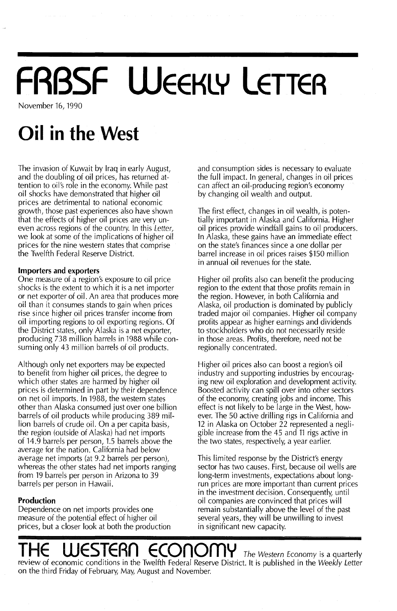# **FRBSF WEEKLY LETTER**

November 16, 1990

## **Oil in the West**

The invasion of Kuwait by Iraq in early August, and the doubling of oil prices, has returned attention to oil's role in the economy. While past oil shocks have demonstrated that higher oil prices are detrimental to national economic growth, those past experiences also have shown that the effects of higher oil prices are very uneven across regions of the country. In this Letter, we look at some of the implications of higher oil prices for the nine western states that comprise the Twelfth Federal Reserve District.

#### **Importers and exporters**

One measure of a region's exposure to oil price shocks is the extent to which it is a net importer or net exporter of oil. An area that produces more oil than it consumes stands to gain when prices rise since higher oil prices transfer income from oil importing regions to oil exporting regions. Of the District states, only Alaska is a net exporter, producing 738 million barrels in 1988 while consuming only 43 million barrels of oil products.

Although only net exporters may be expected to benefit from higher oil prices, the degree to which other states are harmed by higher oil prices is determined in part by their dependence on net oil imports. In 1988, the western states other than Alaska consumed just over one billion barrels of oil products while producing 389 million barrels of crude oil. On a per capita basis, the region (outside of Alaska) had net imports of 14.9 barrels per person, 1.5 barrels above the average for the nation. California had below average net imports (at 9.2 barrels per person), whereas the other states had net imports ranging from 19 barrels per person in Arizona to 39 barrels per person in Hawaii.

### **Production**

Dependence on net imports provides one measure of the potential effect of higher oil prices, but a closer look at both the production and consumption sides is necessary to evaluate the full impact. In general, changes in oil prices can affect an oil-producing region's economy by changing oil wealth and output.

The first effect, changes in oil wealth, is potentially important in Alaska and California. Higher oil prices provide windfall gains to oil producers. In Alaska, these gains have an immediate effect on the state's finances since a one dollar per barrel increase in oil prices raises \$150 million in annual oil revenues for the state.

Higher oil profits also can benefit the producing region to the extent that those profits remain in the region. However, in both California and Alaska, oil production is dominated by publicly traded major oil companies. Higher oil company profits appear as higher earnings and dividends to stockholders who do not necessarily reside in those areas. Profits, therefore, need not be regionally concentrated.

Higher oil prices also can boost a region's oil industry and supporting industries by encouraging new oil exploration and development activity. Boosted activity can spill over into other sectors of the economy, creating jobs and income. This effect is not likely to be large in the West, however. The 50 active drilling rigs in California and 12 in Alaska on October 22 represented a negligible increase from the 45 and <sup>11</sup> rigs active in the two states, respectively, a year earlier.

This limited response by the District's energy sector has two causes. First, because oil wells are long-term investments, expectations about longrun prices are more important than current prices in the investment decision. Consequently, until oil companies are convinced that prices will remain substantially above the level of the past several years, they will be unwilling to invest in significant new capacity.

## **JESTERN ECONOMY** The Western Economy is a quarterly

review of economic conditions in the Twelfth Federal Reserve District. It is published in the Weekly Letter on the third Friday of February, May, August and November.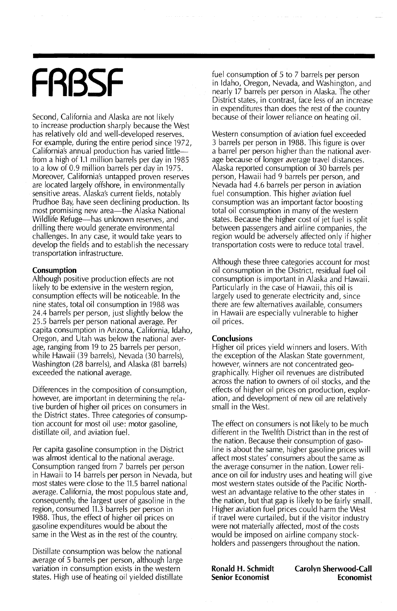# **FRBSF**

Second, California and Alaska are not likely to increase production sharply because the West has relatively old and well-developed reserves. For example, during the entire period since 1972, California's annual production has varied littlefrom a high of 1.1 million barrels per day in 1985 to a low of 0.9 million barrels per day in 1975. Moreover, California's untapped proven reserves are located largely offshore, in environmentally sensitive areas. Alaska's current fields, notably Prudhoe Bay, have seen declining production. Its most promising new area—the Alaska National Wildlife Refuge-has unknown reserves, and drilling there would generate environmental challenges. In any case, it would take years to develop the fields and to establish the necessary transportation infrastructure.

#### **Consumption**

Although positive production effects are not likely to be extensive in the western region, consumption effects will be noticeable. In the nine states, total oil consumption in 1988 was 24.4 barrels per person, just slightly below the 25.5 barrels per person national average. Per capita consumption in Arizona, California, Idaho, Oregon, and Utah was below the national average, ranging from 19 to 25 barrels per person, while Hawaii (39 barrels), Nevada (30 barrels), Washington (28 barrels), and Alaska (81 barrels) exceeded the national average.

Differences in the composition of consumption, however, are important in determining the relative burden of higher oil prices on consumers in the District states. Three categories of consumption account for most oil use: motor gasoline, distillate oil, and aviation fuel.

Per capita gasoline consumption in the District was almost identical to the national average. Consumption ranged from 7 barrels per person in Hawaii to 14 barrels per person in Nevada, but most states were close to the 11.5 barrel national average. California, the most populous state and, consequently, the largest user of gasoline in the region, consumed 11.3 barrels per person in 1988. Thus, the effect of higher oil prices on gasoline expenditures would be about the same in the West as in the rest of the country.

Distillate consumption was below the national average of 5 barrels per person, although large variation in consumption exists in the western states. High use of heating oil yielded distillate fuel consumption of 5 to 7 barrels per person in Idaho, Oregon, Nevada, and Washington, and nearly 17 barrels per person in Alaska. The other District states, in contrast, face less of an increase in expenditures than does the rest of the country because of their lower reliance on heating oil.

Western consumption of aviation fuel exceeded 3 barrels per person in 1988. This figure is over a barrel per person higher than the national average because of longer average travel distances. Alaska reported consumption of 30 barrels per person, Hawaii had 9 barrels per person, and Nevada had 4.6 barrels per person in aviation fuel consumption. This higher aviation fuel consumption was an important factor boosting total oil consumption in many of the western states. Because the higher cost of jet fuel is split between passengers and airline companies, the region would be adversely affected only if higher transportation costs were to reduce total travel.

Although these three categories account for most oil consumption in the District, residual fuel oil consumption is important in Alaska and Hawaii. Particularly in the case of Hawaii, this oil is largely used to generate electricity and, since there are few alternatives available, consumers in Hawaii are especially vulnerable to higher oil prices.

#### **Conclusions**

Higher oil prices yield winners and losers. With the exception of the Alaskan State government, however, winners are not concentrated geographically. Higher oil revenues are distributed across the nation to owners of oil stocks, and the effects of higher oil prices on production, exploration, and development of new oil are relatively small in the West.

The effect on consumers is not likely to be much different in the Twelfth District than in the rest of the nation. Because their consumption of gasoline is about the same, higher gasoline prices will affect most states' consumers about the same as the average consumer in the nation. Lower reliance on oil for industry uses and heating will give most western states outside of the Pacific Northwest an advantage relative to the other states in the nation, but that gap is likely to be fairly small. Higher aviation fuel prices could harm the West if travel were curtailed, but if the visitor industry were not materially affected, most of the costs would be imposed on airline company stockholders and passengers throughout the nation.

**Ronald H. Schmidt Senior Economist**

**Carolyn Sherwood-Call Economist**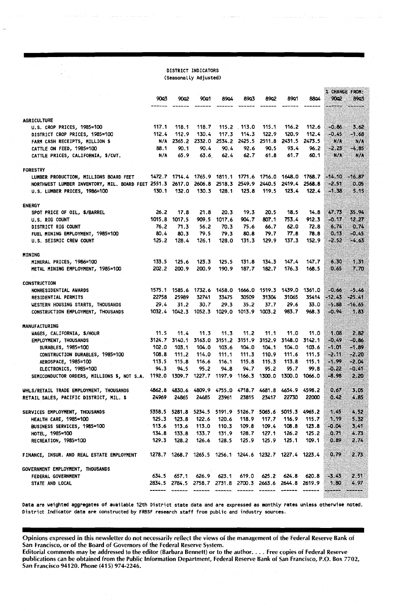#### DISTRICT INDICATORS (Seasonally Adjusted)

|                                                                                |        |               |        |                      |                                                                                                                           |        |                      |               | % CHANGE FROM: |              |
|--------------------------------------------------------------------------------|--------|---------------|--------|----------------------|---------------------------------------------------------------------------------------------------------------------------|--------|----------------------|---------------|----------------|--------------|
|                                                                                | 9003   | 9002          | 90Q1   | 8904                 | 8903                                                                                                                      | 8902   | 8901                 | 8804          | 9002           | 8903         |
|                                                                                |        |               |        |                      |                                                                                                                           |        |                      |               |                |              |
| <b>AGRICULTURE</b>                                                             |        |               |        |                      |                                                                                                                           |        |                      |               |                |              |
| U.S. CROP PRICES, 1985=100                                                     | 117.1  | 118.1         | 118.7  |                      | 115.2 113.0                                                                                                               | 115.1  | 116.2                | 112.6         | -0.86          | 3.62         |
| DISTRICT CROP PRICES, 1985=100                                                 | 112.4  | 112.9         | 130.4  | 117.3                | 114.3                                                                                                                     | 122.9  | 120.9                | 112.4         | $-0.45$        | $-1.68$      |
| FARM CASH RECEIPTS, MILLION \$                                                 | N/A    | 2365.2        | 2332.0 |                      | 2534.2 2425.5 2511.8                                                                                                      |        |                      | 2431.5 2473.5 | N/A            | N/A          |
| CATTLE ON FEED, 1985=100                                                       | 88.1   | 90.1          | 90.4   | 90.4                 | 92.6                                                                                                                      | 90.5   | 93.4                 | 96.2          | $-2.23$        | $-4.85$      |
| CATTLE PRICES, CALIFORNIA, \$/CWT.                                             | N/A    | 65.9          | 63.6   | 62.4                 | 62.7                                                                                                                      | 61.8   | 61.7                 | 60.1          | N/A            | N/A          |
| <b>FORESTRY</b>                                                                |        |               |        |                      |                                                                                                                           |        |                      |               |                |              |
| LUMBER PRODUCTION, MILLIONS BOARD FEET                                         |        |               |        |                      | 1472.7 1714.4 1765.9 1811.1 1771.6 1716.0 1648.0 1768.7                                                                   |        |                      |               | $-14.10$       | $-16.87$     |
| NORTHWEST LUMBER INVENTORY, MIL. BOARD FEET 2551.3 2617.0                      |        |               |        |                      | 2606.8 2518.3 2549.9 2440.5 2419.4                                                                                        |        |                      | 2568.8        | $-2.51$        | 0.05         |
| U.S. LUMBER PRICES, 1986=100                                                   | 130.1  | 132.0         | 130.3  | 128.1                | 123.8                                                                                                                     | 119.5  | 123.4                | 122.4         | $-1.38$        | 5. 15        |
| <b>ENERGY</b>                                                                  |        |               |        |                      |                                                                                                                           |        |                      |               |                |              |
| SPOT PRICE OF OIL, \$/BARREL                                                   | 26.2   | 17.8          | 21.8   | 20.3                 | 19.3                                                                                                                      | 20.5   | 18.5                 | 14.8          | 47.73          | 35.94        |
| <b>U.S. RIG COUNT</b>                                                          | 1015.8 | 1017.5        | 909.5  | 1017.6               | 904.7                                                                                                                     | 807.1  | 753.4                | 912.3         | $-0.17$        | 12, 27       |
| DISTRICT RIG COUNT                                                             | 76.2   | 71.3          | 56.2   | 70.3                 | 75.6                                                                                                                      | 66.7   | 62.0                 | 72.8          | 6,74           | 0.74         |
| FUEL MINING EMPLOYMENT, 1985=100                                               | 80.4   | 80.3          | 79.5   | 79.3                 | 80.8                                                                                                                      | 79.7   | 77.8                 | 78.8          | 0,13           | $-0.45$      |
| U.S. SEISMIC CREW COUNT                                                        | 125.2  | 128.4         | 126.1  | 128.0                | 131.3                                                                                                                     | 129.9  | 137.3                | 152.9         | $-2.52$        | $-4.63$      |
|                                                                                |        |               |        |                      |                                                                                                                           |        |                      |               |                |              |
| MINING                                                                         |        |               |        |                      |                                                                                                                           |        |                      |               |                |              |
| MINERAL PRICES, 1986=100                                                       | 133.5  | 125.6         | 123.3  | 125.5                | 131.8                                                                                                                     | 134.3  | 147.4                | 147.7         | 6.30           | 1.31         |
| METAL MINING EMPLOYMENT, 1985=100                                              | 202.2  | 200.9         | 200.9  | 190.9                | 187.7                                                                                                                     | 182.7  | 176.3                | 168.5         | 0.65           | 7.70         |
| <b>CONSTRUCTION</b>                                                            |        |               |        |                      |                                                                                                                           |        |                      |               |                |              |
| NONRESIDENTIAL AWARDS                                                          | 1575.1 | 1585.6        |        |                      | 1732.6 1458.0 1666.0 1519.3 1439.0 1361.0                                                                                 |        |                      |               | $-0.66$        | $-5.46$      |
| RESIDENTIAL PERMITS                                                            | 22758  | 25989         | 32741  | 33475                | 30509                                                                                                                     | 31304  | 31065                | 35414         | $-12.45$       | $-25.41$     |
| WESTERN HOUSING STARTS, THOUSANDS                                              | 29.4   | 31.2          | 30.7   | 29.3                 | 35.2                                                                                                                      | 37.7   | 29.6                 | 33.0          | $-5.88$        | $-16.65$     |
| CONSTRUCTION EMPLOYMENT, THOUSANDS                                             | 1032.4 | 1042.3        |        |                      | 1052.3 1029.0 1013.9 1003.2                                                                                               |        | 983.7                | 968.3         | $-0.94$        | 1.83         |
| <b>MANUFACTURING</b>                                                           |        |               |        |                      |                                                                                                                           |        |                      |               |                |              |
| WAGES, CALIFORNIA, \$/HOUR                                                     | 11.5   | 11.4          | 11.3   | 11.3                 | 11.2                                                                                                                      | 11.1   | 11.0                 | 11.0          | 1.08           | 2.82         |
| EMPLOYMENT, THOUSANDS                                                          |        | 3124.7 3140.1 | 3163.0 |                      | 3151.2 3151.9 3152.9                                                                                                      |        | 3148.0               | 3142.1        | $-0.49$        | $-0.86$      |
| DURABLES, 1985=100                                                             | 102.0  | 103.1         | 104.0  | 103.6                | 104.0                                                                                                                     | 104.1  | 104.0                | 103.6         | $-1.01$        | $-1.89$      |
| CONSTRUCTION DURABLES, 1985=100                                                | 108.8  | 111.2         | 114.0  | 111.1                | 111.3                                                                                                                     | 110.9  | 111.6                | 111.5         | -2. 11         | $-2.20$      |
| AEROSPACE, 1985=100                                                            | 113.5  | 115.8         | 116.6  | 116.1                | 115.8                                                                                                                     | 115.3  | 113.8                | 115.1         | $-1.99$        | $-2.04$      |
| ELECTRONICS, 1985=100                                                          | 94.3   | 94.5          | 95.2   | 94.8                 | 94.7                                                                                                                      | 95.2   | 95.7                 | 99.8          | $-0.22$        | $-0.41$      |
| SEMICONDUCTOR ORDERS, MILLIONS \$, NOT S.A. 1192.0 1309.7 1227.7 1197.9 1166.3 |        |               |        |                      |                                                                                                                           | 1300.0 | 1300.0               | 1066.0        | $-8.98$        | 2.20         |
|                                                                                |        |               |        |                      |                                                                                                                           |        |                      |               |                |              |
| WHLS/RETAIL TRADE EMPLOYMENT, THOUSANDS                                        | 4862.8 | 4830.6        |        | 4809.9 4755.0        | 4718.7 4681.8                                                                                                             |        | 4654.9               | 4598.2        | 0.67           | 3.05         |
| RETAIL SALES, PACIFIC DISTRICT, MIL. \$                                        | 24969  | 24865         | 24685  | 23961                | 23815                                                                                                                     | 23417  | 22730                | 22000         | 0.42           | 4.85         |
| SERVICES EMPLOYMENT, THOUSANDS                                                 | 5358.5 | 5281.8        |        | 5234.5 5191.9 5126.7 |                                                                                                                           |        | 5065.6 5015.3 4965.2 |               | 1.45           | 4.52         |
| <b>HEALTH CARE, 1985=100</b>                                                   | 125.3  | 123.8         | 122.6  | 120.6                | 118.9                                                                                                                     | 117.7  | 116.9                | 115.7         | 1.19           | 5.32         |
| BUSINESS SERVICES, 1985=100                                                    | 113.6  | 113.6         | 113.0  | 110.3                | 109.8                                                                                                                     | 109.4  | 108.8                | 123.8         | -0.04          | 3.41         |
| HOTEL, 1985=100                                                                | 134.8  | 133.8         | 133.7  | 131.9                | 128.7                                                                                                                     | 127.1  | 126.2                | 125.2         | 0.71           | 4.73         |
| RECREATION, 1985=100                                                           |        |               |        |                      | 129.3 128.2 126.6 128.5 125.9 125.9 125.1 109.1                                                                           |        |                      |               | 0.89           | 2.74         |
| FINANCE, INSUR. AND REAL ESTATE EMPLOYMENT                                     |        |               |        |                      | 1278.7 1268.7 1265.5 1256.1 1244.6 1232.7 1227.4 1223.4                                                                   |        |                      |               | 0.79           | 2.73         |
|                                                                                |        |               |        |                      |                                                                                                                           |        |                      |               |                |              |
| GOVERNMENT EMPLOYMENT, THOUSANDS                                               |        |               |        |                      |                                                                                                                           |        |                      |               |                |              |
| FEDERAL GOVERNMENT                                                             |        |               |        |                      | 634.5 657.1 626.9 623.1 619.0 625.2 624.8 620.8                                                                           |        |                      |               | $-5.45 - 4$    | 2,51<br>4.97 |
| STATE AND LOCAL                                                                |        |               |        |                      | 2834.5 2784.5 2758.7 2731.8 2700.3 2663.6 2644.8 2619.9<br>------ ----- ----- ----- ----- ----- <i>-</i> ---- ----- ----- |        |                      | -------       | 1.80           |              |
|                                                                                |        |               |        |                      |                                                                                                                           |        |                      |               |                |              |

Data are weighted aggregates of available 12th District state data and are expressed as monthly rates unless otherwise noted. District Indicator data are constructed by FRBSF research staff from public and industry sources.

Opinions expressed in this newsletter do not necessarily reflect the views of the management of the Feclerai Reserve Bank of San Francisco, or of the Board of Governors of the Federal Reserve System.

Editorial comments may be addressed to the editor (Barbara Bennett) or to the author. . . . Free copies of Federal Reserve publications can be obtained from the Public Information Department, Federal Reserve Bank of San Francisco, P.O. Box 7702, San Francisco 94120. Phone (415) 974-2246.